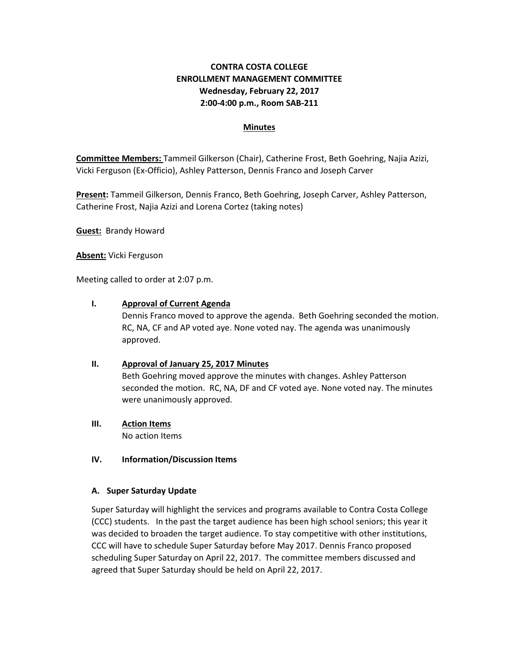# **CONTRA COSTA COLLEGE ENROLLMENT MANAGEMENT COMMITTEE Wednesday, February 22, 2017 2:00-4:00 p.m., Room SAB-211**

#### **Minutes**

**Committee Members:** Tammeil Gilkerson (Chair), Catherine Frost, Beth Goehring, Najia Azizi, Vicki Ferguson (Ex-Officio), Ashley Patterson, Dennis Franco and Joseph Carver

**Present:** Tammeil Gilkerson, Dennis Franco, Beth Goehring, Joseph Carver, Ashley Patterson, Catherine Frost, Najia Azizi and Lorena Cortez (taking notes)

**Guest:** Brandy Howard

**Absent:** Vicki Ferguson

Meeting called to order at 2:07 p.m.

#### **I. Approval of Current Agenda**

Dennis Franco moved to approve the agenda. Beth Goehring seconded the motion. RC, NA, CF and AP voted aye. None voted nay. The agenda was unanimously approved.

#### **II. Approval of January 25, 2017 Minutes**

Beth Goehring moved approve the minutes with changes. Ashley Patterson seconded the motion. RC, NA, DF and CF voted aye. None voted nay. The minutes were unanimously approved.

**III. Action Items**

No action Items

#### **IV. Information/Discussion Items**

#### **A. Super Saturday Update**

Super Saturday will highlight the services and programs available to Contra Costa College (CCC) students. In the past the target audience has been high school seniors; this year it was decided to broaden the target audience. To stay competitive with other institutions, CCC will have to schedule Super Saturday before May 2017. Dennis Franco proposed scheduling Super Saturday on April 22, 2017. The committee members discussed and agreed that Super Saturday should be held on April 22, 2017.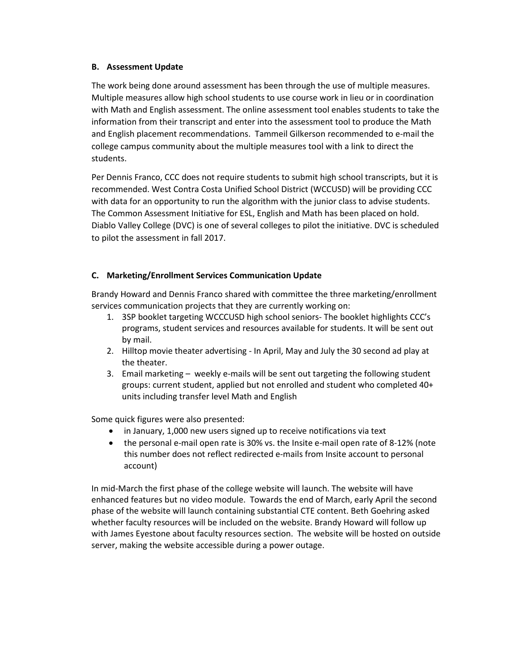#### **B. Assessment Update**

The work being done around assessment has been through the use of multiple measures. Multiple measures allow high school students to use course work in lieu or in coordination with Math and English assessment. The online assessment tool enables students to take the information from their transcript and enter into the assessment tool to produce the Math and English placement recommendations. Tammeil Gilkerson recommended to e-mail the college campus community about the multiple measures tool with a link to direct the students.

Per Dennis Franco, CCC does not require students to submit high school transcripts, but it is recommended. West Contra Costa Unified School District (WCCUSD) will be providing CCC with data for an opportunity to run the algorithm with the junior class to advise students. The Common Assessment Initiative for ESL, English and Math has been placed on hold. Diablo Valley College (DVC) is one of several colleges to pilot the initiative. DVC is scheduled to pilot the assessment in fall 2017.

### **C. Marketing/Enrollment Services Communication Update**

Brandy Howard and Dennis Franco shared with committee the three marketing/enrollment services communication projects that they are currently working on:

- 1. 3SP booklet targeting WCCCUSD high school seniors- The booklet highlights CCC's programs, student services and resources available for students. It will be sent out by mail.
- 2. Hilltop movie theater advertising In April, May and July the 30 second ad play at the theater.
- 3. Email marketing weekly e-mails will be sent out targeting the following student groups: current student, applied but not enrolled and student who completed 40+ units including transfer level Math and English

Some quick figures were also presented:

- in January, 1,000 new users signed up to receive notifications via text
- the personal e-mail open rate is 30% vs. the Insite e-mail open rate of 8-12% (note this number does not reflect redirected e-mails from Insite account to personal account)

In mid-March the first phase of the college website will launch. The website will have enhanced features but no video module. Towards the end of March, early April the second phase of the website will launch containing substantial CTE content. Beth Goehring asked whether faculty resources will be included on the website. Brandy Howard will follow up with James Eyestone about faculty resources section. The website will be hosted on outside server, making the website accessible during a power outage.